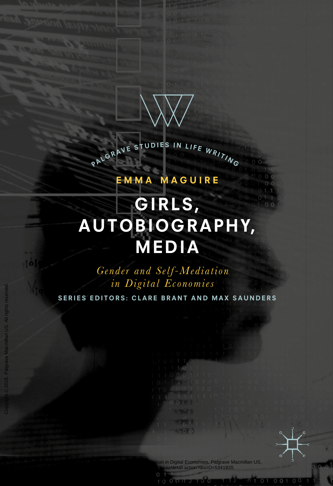

E M M A M A G U I R E

PALGRAVE STUDIES IN LIFE WRITING

## GIRLS, AUTOBIOGRAPHY, MEDIA

*Gender and Self-Mediation in Digital Economies*

SERIES EDITORS: CLARE BRANT AND MAX SAUNDERS



 $I$ darave, Macmillan US  $200cD - 5341920$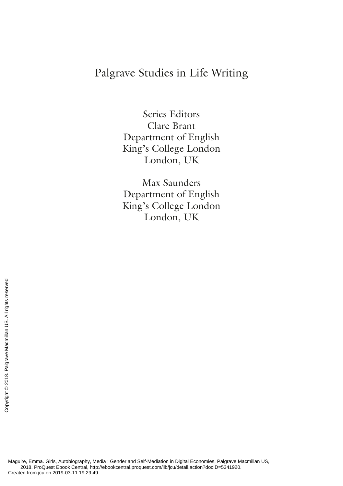#### Palgrave Studies in Life Writing

Series Editors Clare Brant Department of English King's College London London, UK

Max Saunders Department of English King's College London London, UK

Maguire, Emma. Girls, Autobiography, Media : Gender and Self-Mediation in Digital Economies, Palgrave Macmillan US, 2018. ProQuest Ebook Central, http://ebookcentral.proquest.com/lib/jcu/detail.action?docID=5341920. Peologies and the season of the season of the season of the season of the season of the season of the season of the copyright Created from jcu on 2019-03-11 19:29:49.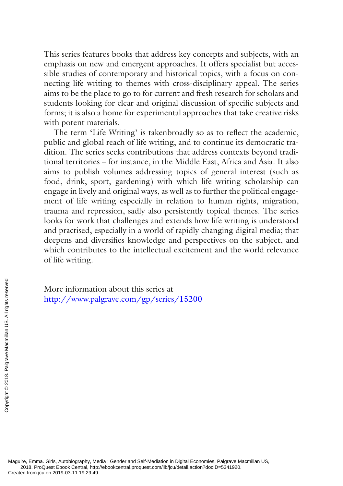This series features books that address key concepts and subjects, with an emphasis on new and emergent approaches. It offers specialist but accessible studies of contemporary and historical topics, with a focus on connecting life writing to themes with cross-disciplinary appeal. The series aims to be the place to go to for current and fresh research for scholars and students looking for clear and original discussion of specific subjects and forms; it is also a home for experimental approaches that take creative risks with potent materials.

The term 'Life Writing' is takenbroadly so as to reflect the academic, public and global reach of life writing, and to continue its democratic tradition. The series seeks contributions that address contexts beyond traditional territories – for instance, in the Middle East, Africa and Asia. It also aims to publish volumes addressing topics of general interest (such as food, drink, sport, gardening) with which life writing scholarship can engage in lively and original ways, as well as to further the political engagement of life writing especially in relation to human rights, migration, trauma and repression, sadly also persistently topical themes. The series looks for work that challenges and extends how life writing is understood and practised, especially in a world of rapidly changing digital media; that deepens and diversifies knowledge and perspectives on the subject, and which contributes to the intellectual excitement and the world relevance of life writing.

More information about this series at <http://www.palgrave.com/gp/series/15200>

Maguire, Emma. Girls, Autobiography, Media : Gender and Self-Mediation in Digital Economies, Palgrave Macmillan US, 2018. ProQuest Ebook Central, http://ebookcentral.proquest.com/lib/jcu/detail.action?docID=5341920.<br>Created from icu on 2019-03-11 19:29:49. More information<br>
<u>http</u>://www.pal<br>  $\frac{1}{2}$ <br>  $\frac{1}{2}$ <br>  $\frac{1}{2}$ <br>  $\frac{1}{2}$ <br>  $\frac{1}{2}$ <br>  $\frac{1}{2}$ <br>  $\frac{1}{2}$ <br>  $\frac{1}{2}$ <br>  $\frac{1}{2}$ <br>  $\frac{1}{2}$ <br>  $\frac{1}{2}$ <br>  $\frac{1}{2}$ <br>  $\frac{1}{2}$ <br>  $\frac{1}{2}$ <br>  $\frac{1}{2}$ <br>  $\frac{1}{2}$ <br>  $\frac{1}{2}$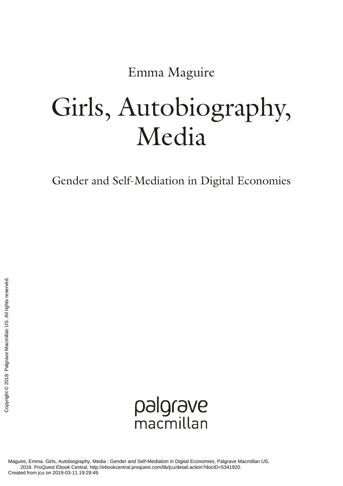Emma Maguire

# Girls, Autobiography, Media

Gender and Self-Mediation in Digital Economies



Maguire, Emma. Girls, Autobiography, Media : Gender and Self-Mediation in Digital Economies, Palgrave Macmillan US, 2018. ProQuest Ebook Central, http://ebookcentral.proquest.com/lib/jcu/detail.action?docID=5341920.<br>Created from icu on 2019-03-11 19:29:49. Peologies and the season of the season of the season of the season of the season of the season of the season of the copyright Created from jcu on 2019-03-11 19:29:49.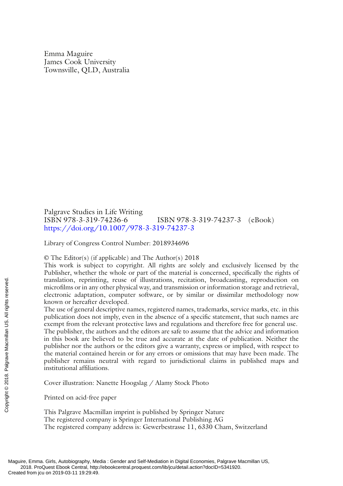Emma Maguire James Cook University Townsville, QLD, Australia

Palgrave Studies in Life Writing ISBN 978-3-319-74236-6 ISBN 978-3-319-74237-3 (eBook) <https://doi.org/10.1007/978-3-319-74237-3>

Library of Congress Control Number: 2018934696

© The Editor(s) (if applicable) and The Author(s) 2018

This work is subject to copyright. All rights are solely and exclusively licensed by the Publisher, whether the whole or part of the material is concerned, specifically the rights of translation, reprinting, reuse of illustrations, recitation, broadcasting, reproduction on microfilms or in any other physical way, and transmission or information storage and retrieval, electronic adaptation, computer software, or by similar or dissimilar methodology now known or hereafter developed.

The use of general descriptive names, registered names, trademarks, service marks, etc. in this publication does not imply, even in the absence of a specific statement, that such names are exempt from the relevant protective laws and regulations and therefore free for general use. The publisher, the authors and the editors are safe to assume that the advice and information in this book are believed to be true and accurate at the date of publication. Neither the publisher nor the authors or the editors give a warranty, express or implied, with respect to the material contained herein or for any errors or omissions that may have been made. The publisher remains neutral with regard to jurisdictional claims in published maps and institutional affiliations. Translation, reprintif<br>
microfilms or in any<br>
electronic adaptatio<br>
known or hereafter<br>
The use of general d<br>
publication does no<br>
exempt from the rel<br>
The publisher, the a<br>
in this book are be<br>
publisher nor the at<br>
the

Cover illustration: Nanette Hoogslag / Alamy Stock Photo

Printed on acid-free paper

This Palgrave Macmillan imprint is published by Springer Nature The registered company is Springer International Publishing AG The registered company address is: Gewerbestrasse 11, 6330 Cham, Switzerland

Maguire, Emma. Girls, Autobiography, Media : Gender and Self-Mediation in Digital Economies, Palgrave Macmillan US, 2018. ProQuest Ebook Central, http://ebookcentral.proquest.com/lib/jcu/detail.action?docID=5341920.<br>Created from icu on 2019-03-11 19:29:49.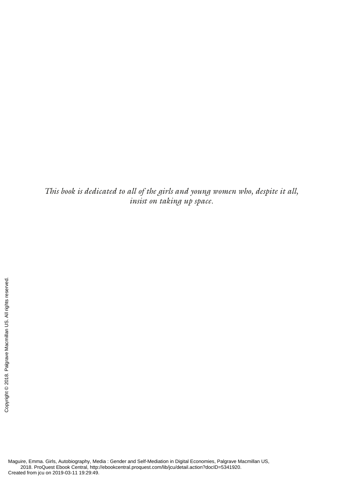*This book is dedicated to all of the girls and young women who, despite it all, insist on taking up space.*

Maguire, Emma. Girls, Autobiography, Media : Gender and Self-Mediation in Digital Economies, Palgrave Macmillan US, 2018. ProQuest Ebook Central, http://ebookcentral.proquest.com/lib/jcu/detail.action?docID=5341920. Peologies and the season of the season of the season of the season of the season of the season of the season of the copyright Created from jcu on 2019-03-11 19:29:49.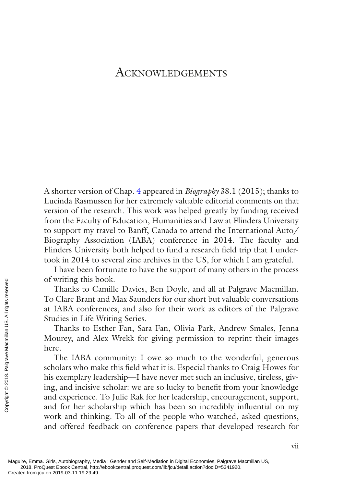#### Acknowledgements

A shorter version of Chap. 4 appeared in *Biography* 38.1 (2015); thanks to Lucinda Rasmussen for her extremely valuable editorial comments on that version of the research. This work was helped greatly by funding received from the Faculty of Education, Humanities and Law at Flinders University to support my travel to Banff, Canada to attend the International Auto/ Biography Association (IABA) conference in 2014. The faculty and Flinders University both helped to fund a research field trip that I undertook in 2014 to several zine archives in the US, for which I am grateful.

I have been fortunate to have the support of many others in the process of writing this book.

Thanks to Camille Davies, Ben Doyle, and all at Palgrave Macmillan. To Clare Brant and Max Saunders for our short but valuable conversations at IABA conferences, and also for their work as editors of the Palgrave Studies in Life Writing Series.

Thanks to Esther Fan, Sara Fan, Olivia Park, Andrew Smales, Jenna Mourey, and Alex Wrekk for giving permission to reprint their images here.

The IABA community: I owe so much to the wonderful, generous scholars who make this field what it is. Especial thanks to Craig Howes for his exemplary leadership—I have never met such an inclusive, tireless, giving, and incisive scholar: we are so lucky to benefit from your knowledge and experience. To Julie Rak for her leadership, encouragement, support, and for her scholarship which has been so incredibly influential on my work and thinking. To all of the people who watched, asked questions, and offered feedback on conference papers that developed research for From the season of writing this b<br>
Thanks to C:<br>
To Clare Brant  $\varepsilon$ <br>
at IABA confere<br>
Studies in Life V<br>
Thanks to E:<br>
Mourey, and A<br>
here.<br>
The IABA c<br>
scholars who mas<br>
his exemplary le<br>
ing, and incisive<br>
and experien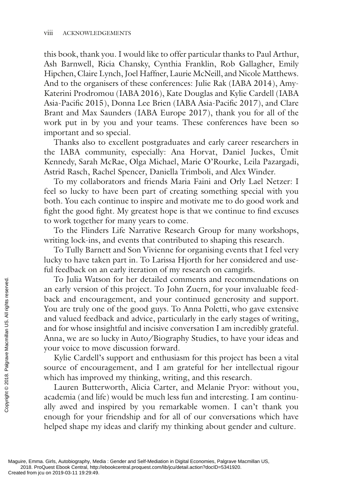this book, thank you. I would like to offer particular thanks to Paul Arthur, Ash Barnwell, Ricia Chansky, Cynthia Franklin, Rob Gallagher, Emily Hipchen, Claire Lynch, Joel Haffner, Laurie McNeill, and Nicole Matthews. And to the organisers of these conferences: Julie Rak (IABA 2014), Amy-Katerini Prodromou (IABA 2016), Kate Douglas and Kylie Cardell (IABA Asia-Pacific 2015), Donna Lee Brien (IABA Asia-Pacific 2017), and Clare Brant and Max Saunders (IABA Europe 2017), thank you for all of the work put in by you and your teams. These conferences have been so important and so special.

Thanks also to excellent postgraduates and early career researchers in the IABA community, especially: Ana Horvat, Daniel Juckes, Ümit Kennedy, Sarah McRae, Olga Michael, Marie O'Rourke, Leila Pazargadi, Astrid Rasch, Rachel Spencer, Daniella Trimboli, and Alex Winder.

To my collaborators and friends Maria Faini and Orly Lael Netzer: I feel so lucky to have been part of creating something special with you both. You each continue to inspire and motivate me to do good work and fight the good fight. My greatest hope is that we continue to find excuses to work together for many years to come.

To the Flinders Life Narrative Research Group for many workshops, writing lock-ins, and events that contributed to shaping this research.

To Tully Barnett and Son Vivienne for organising events that I feel very lucky to have taken part in. To Larissa Hjorth for her considered and useful feedback on an early iteration of my research on camgirls.

To Julia Watson for her detailed comments and recommendations on an early version of this project. To John Zuern, for your invaluable feedback and encouragement, and your continued generosity and support. You are truly one of the good guys. To Anna Poletti, who gave extensive and valued feedback and advice, particularly in the early stages of writing, and for whose insightful and incisive conversation I am incredibly grateful. Anna, we are so lucky in Auto/Biography Studies, to have your ideas and your voice to move discussion forward. To Julia Wat:<br>
an early version<br>
back and encouvers on back and encouvers of the control of the carded and for whose in Anna, we are so your voice to move of encouvers of encouvers of encouvers of encouvers reserved.<br>
Sinc

Kylie Cardell's support and enthusiasm for this project has been a vital source of encouragement, and I am grateful for her intellectual rigour which has improved my thinking, writing, and this research.

Lauren Butterworth, Alicia Carter, and Melanie Pryor: without you, academia (and life) would be much less fun and interesting. I am continually awed and inspired by you remarkable women. I can't thank you enough for your friendship and for all of our conversations which have helped shape my ideas and clarify my thinking about gender and culture.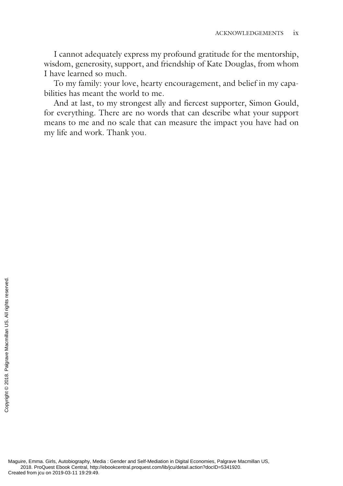I cannot adequately express my profound gratitude for the mentorship, wisdom, generosity, support, and friendship of Kate Douglas, from whom I have learned so much.

To my family: your love, hearty encouragement, and belief in my capabilities has meant the world to me.

And at last, to my strongest ally and fiercest supporter, Simon Gould, for everything. There are no words that can describe what your support means to me and no scale that can measure the impact you have had on my life and work. Thank you.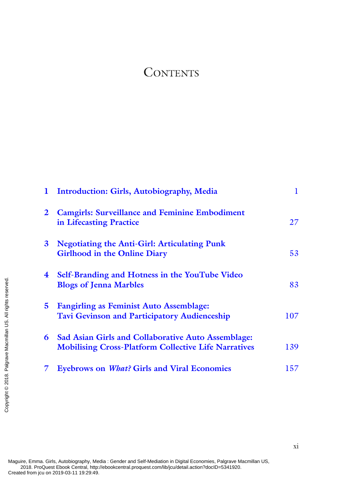#### **CONTENTS**

|                                                              | 1                       | <b>Introduction: Girls, Autobiography, Media</b>                                                                                                                                                                                                                      | 1   |
|--------------------------------------------------------------|-------------------------|-----------------------------------------------------------------------------------------------------------------------------------------------------------------------------------------------------------------------------------------------------------------------|-----|
|                                                              | $\overline{2}$          | <b>Camgirls: Surveillance and Feminine Embodiment</b><br>in Lifecasting Practice                                                                                                                                                                                      | 27  |
|                                                              | 3                       | <b>Negotiating the Anti-Girl: Articulating Punk</b><br><b>Girlhood in the Online Diary</b>                                                                                                                                                                            | 53  |
|                                                              | $\overline{\mathbf{4}}$ | Self-Branding and Hotness in the YouTube Video<br><b>Blogs of Jenna Marbles</b>                                                                                                                                                                                       | 83  |
|                                                              | 5                       | <b>Fangirling as Feminist Auto Assemblage:</b><br><b>Tavi Gevinson and Participatory Audienceship</b>                                                                                                                                                                 | 107 |
| Copyright © 2018. Palgrave Macmillan US. All rights reserved | 6                       | Sad Asian Girls and Collaborative Auto Assemblage:<br><b>Mobilising Cross-Platform Collective Life Narratives</b>                                                                                                                                                     | 139 |
|                                                              | 7                       | <b>Eyebrows on What? Girls and Viral Economies</b>                                                                                                                                                                                                                    | 157 |
|                                                              |                         |                                                                                                                                                                                                                                                                       |     |
|                                                              |                         |                                                                                                                                                                                                                                                                       | xi  |
|                                                              |                         | Maguire, Emma. Girls, Autobiography, Media: Gender and Self-Mediation in Digital Economies, Palgrave Macmillan US,<br>2018. ProQuest Ebook Central, http://ebookcentral.proquest.com/lib/jcu/detail.action?docID=5341920.<br>Created from jcu on 2019-03-11 19:29:49. |     |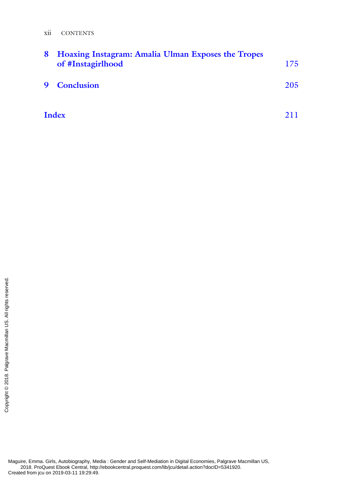| 8 Hoaxing Instagram: Amalia Ulman Exposes the Tropes<br>of #Instagirlhood | 175 |
|---------------------------------------------------------------------------|-----|
| 9 Conclusion                                                              | 205 |
| Index                                                                     |     |

Maguire, Emma. Girls, Autobiography, Media : Gender and Self-Mediation in Digital Economies, Palgrave Macmillan US, 2018. ProQuest Ebook Central, http://ebookcentral.proquest.com/lib/jcu/detail.action?docID=5341920. Peologies and the season of the season of the season of the season of the season of the season of the season of the copyright Created from jcu on 2019-03-11 19:29:49.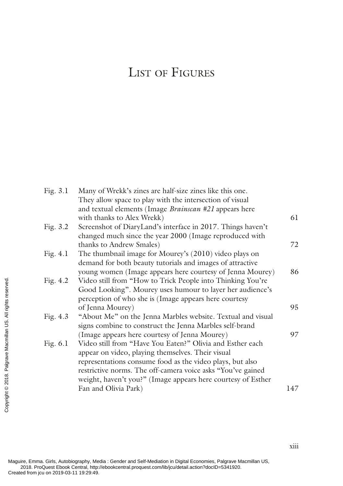### LIST OF FIGURES

|                                                              | Fig. $3.1$                               | Many of Wrekk's zines are half-size zines like this one.<br>They allow space to play with the intersection of visual<br>and textual elements (Image Brainscan #21 appears here                                                                                                              |      |
|--------------------------------------------------------------|------------------------------------------|---------------------------------------------------------------------------------------------------------------------------------------------------------------------------------------------------------------------------------------------------------------------------------------------|------|
|                                                              |                                          | with thanks to Alex Wrekk)                                                                                                                                                                                                                                                                  | 61   |
|                                                              | Fig. $3.2$                               | Screenshot of DiaryLand's interface in 2017. Things haven't<br>changed much since the year 2000 (Image reproduced with                                                                                                                                                                      |      |
|                                                              |                                          | thanks to Andrew Smales)                                                                                                                                                                                                                                                                    | 72   |
|                                                              | Fig. $4.1$                               | The thumbnail image for Mourey's (2010) video plays on<br>demand for both beauty tutorials and images of attractive                                                                                                                                                                         |      |
|                                                              | Fig. $4.2$                               | young women (Image appears here courtesy of Jenna Mourey)<br>Video still from "How to Trick People into Thinking You're<br>Good Looking". Mourey uses humour to layer her audience's<br>perception of who she is (Image appears here courtesy                                               | 86   |
|                                                              |                                          | of Jenna Mourey)                                                                                                                                                                                                                                                                            | 95   |
|                                                              | Fig. $4.3$                               | "About Me" on the Jenna Marbles website. Textual and visual<br>signs combine to construct the Jenna Marbles self-brand                                                                                                                                                                      |      |
| Copyright © 2018. Palgrave Macmillan US. All rights reserved | Fig. $6.1$                               | (Image appears here courtesy of Jenna Mourey)<br>Video still from "Have You Eaten?" Olivia and Esther each<br>appear on video, playing themselves. Their visual<br>representations consume food as the video plays, but also<br>restrictive norms. The off-camera voice asks "You've gained | 97   |
|                                                              |                                          | weight, haven't you?" (Image appears here courtesy of Esther<br>Fan and Olivia Park)                                                                                                                                                                                                        | 147  |
|                                                              |                                          |                                                                                                                                                                                                                                                                                             |      |
|                                                              |                                          |                                                                                                                                                                                                                                                                                             | xiii |
|                                                              | Created from jcu on 2019-03-11 19:29:49. | Maguire, Emma. Girls, Autobiography, Media: Gender and Self-Mediation in Digital Economies, Palgrave Macmillan US,<br>2018. ProQuest Ebook Central, http://ebookcentral.proquest.com/lib/jcu/detail.action?docID=5341920.                                                                   |      |